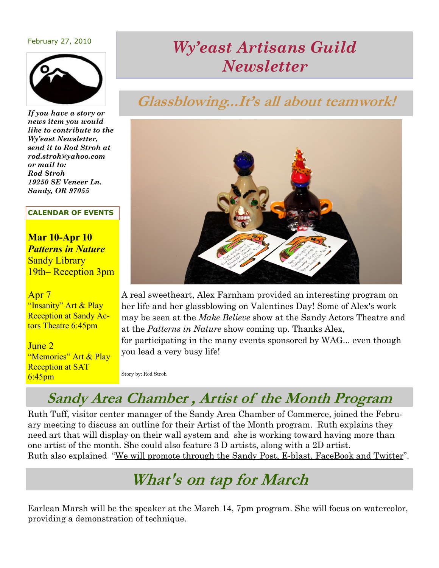### February 27, 2010



*If you have a story or news item you would like to contribute to the Wy'east Newsletter, send it to Rod Stroh at rod.stroh@yahoo.com or mail to: Rod Stroh 19250 SE Veneer Ln. Sandy, OR 97055*

#### **CALENDAR OF EVENTS**

**Mar 10-Apr 10** *Patterns in Nature*  **Sandy Library** 19th– Reception 3pm

### Apr 7

"Insanity" Art & Play Reception at Sandy Actors Theatre 6:45pm

June 2 "Memories" Art & Play Reception at SAT 6:45pm

# *Wy'east Artisans Guild Newsletter*

# **Glassblowing...It's all about teamwork!**



A real sweetheart, Alex Farnham provided an interesting program on her life and her glassblowing on Valentines Day! Some of Alex's work may be seen at the *Make Believe* show at the Sandy Actors Theatre and at the *Patterns in Nature* show coming up. Thanks Alex, for participating in the many events sponsored by WAG... even though you lead a very busy life!

Story by: Rod Stroh

### **Sandy Area Chamber , Artist of the Month Program**

Ruth Tuff, visitor center manager of the Sandy Area Chamber of Commerce, joined the February meeting to discuss an outline for their Artist of the Month program. Ruth explains they need art that will display on their wall system and she is working toward having more than one artist of the month. She could also feature 3 D artists, along with a 2D artist. Ruth also explained "We will promote through the Sandy Post, E-blast, FaceBook and Twitter".

# **What's on tap for March**

Earlean Marsh will be the speaker at the March 14, 7pm program. She will focus on watercolor, providing a demonstration of technique.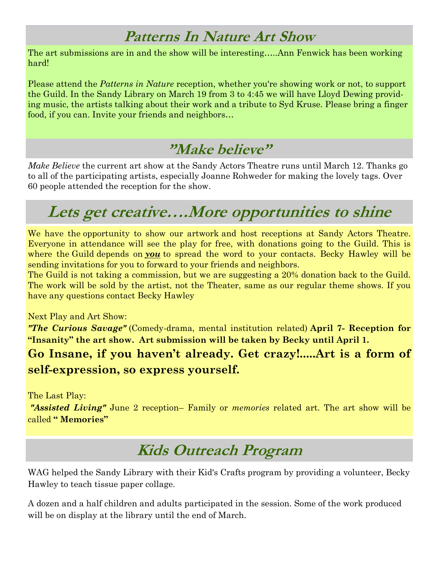# **Patterns In Nature Art Show**

The art submissions are in and the show will be interesting…..Ann Fenwick has been working hard!

Please attend the *Patterns in Nature* reception, whether you're showing work or not, to support the Guild. In the Sandy Library on March 19 from 3 to 4:45 we will have Lloyd Dewing providing music, the artists talking about their work and a tribute to Syd Kruse. Please bring a finger food, if you can. Invite your friends and neighbors…

## **"Make believe"**

*Make Believe* the current art show at the Sandy Actors Theatre runs until March 12. Thanks go to all of the participating artists, especially Joanne Rohweder for making the lovely tags. Over 60 people attended the reception for the show.

# **Lets get creative….More opportunities to shine**

We have the opportunity to show our artwork and host receptions at Sandy Actors Theatre. Everyone in attendance will see the play for free, with donations going to the Guild. This is where the Guild depends on *you* to spread the word to your contacts. Becky Hawley will be sending invitations for you to forward to your friends and neighbors.

The Guild is not taking a commission, but we are suggesting a 20% donation back to the Guild. The work will be sold by the artist, not the Theater, same as our regular theme shows. If you have any questions contact Becky Hawley

Next Play and Art Show:

*"The Curious Savage"* (Comedy-drama, mental institution related) **April 7- Reception for "Insanity" the art show. Art submission will be taken by Becky until April 1.**

**Go Insane, if you haven't already. Get crazy!.....Art is a form of self-expression, so express yourself.**

The Last Play:

*"Assisted Living"* June 2 reception– Family or *memories* related art. The art show will be called **" Memories"**

# **Kids Outreach Program**

WAG helped the Sandy Library with their Kid's Crafts program by providing a volunteer, Becky Hawley to teach tissue paper collage.

A dozen and a half children and adults participated in the session. Some of the work produced will be on display at the library until the end of March.